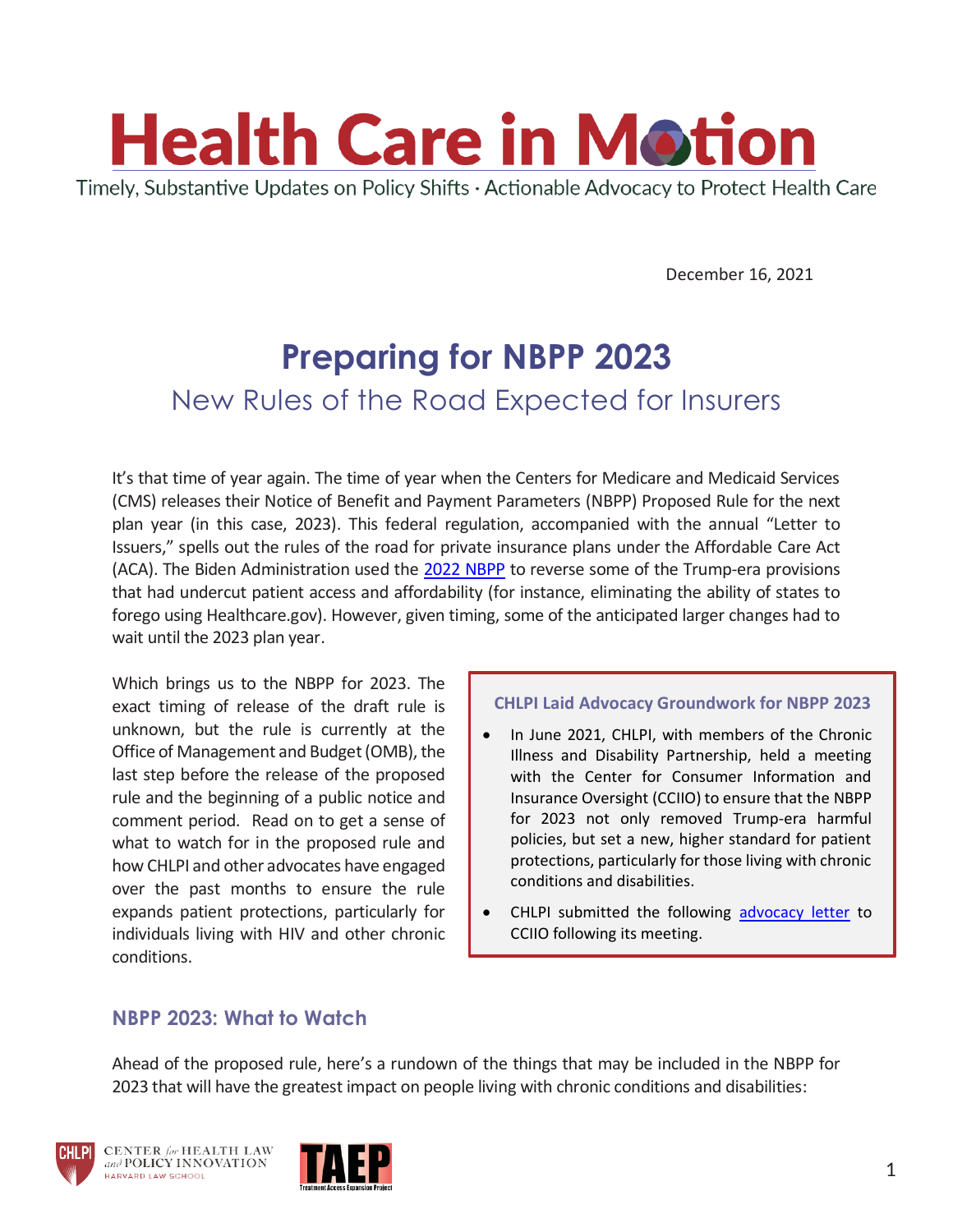

December 16, 2021

# **Preparing for NBPP 2023** New Rules of the Road Expected for Insurers

It's that time of year again. The time of year when the Centers for Medicare and Medicaid Services (CMS) releases their Notice of Benefit and Payment Parameters (NBPP) Proposed Rule for the next plan year (in this case, 2023). This federal regulation, accompanied with the annual "Letter to Issuers," spells out the rules of the road for private insurance plans under the Affordable Care Act (ACA). The Biden Administration used the [2022 NBPP](https://www.cms.gov/newsroom/fact-sheets/notice-benefit-and-payment-parameters-2022-final-rule-part-two-fact-sheet) to reverse some of the Trump-era provisions that had undercut patient access and affordability (for instance, eliminating the ability of states to forego using Healthcare.gov). However, given timing, some of the anticipated larger changes had to wait until the 2023 plan year.

Which brings us to the NBPP for 2023. The exact timing of release of the draft rule is unknown, but the rule is currently at the Office of Management and Budget (OMB), the last step before the release of the proposed rule and the beginning of a public notice and comment period. Read on to get a sense of what to watch for in the proposed rule and how CHLPI and other advocates have engaged over the past months to ensure the rule expands patient protections, particularly for individuals living with HIV and other chronic conditions.

#### **CHLPI Laid Advocacy Groundwork for NBPP 2023**

- In June 2021, CHLPI, with members of the Chronic Illness and Disability Partnership, held a meeting with the Center for Consumer Information and Insurance Oversight (CCIIO) to ensure that the NBPP for 2023 not only removed Trump-era harmful policies, but set a new, higher standard for patient protections, particularly for those living with chronic conditions and disabilities.
- CHLPI submitted the following [advocacy letter](https://chlpi.org/wp-content/uploads/2021/12/CIDP-Recommendations-for-NBPP-2023-and-Direct-Agency-Action.pdf) to CCIIO following its meeting.

## **NBPP 2023: What to Watch**

Ahead of the proposed rule, here's a rundown of the things that may be included in the NBPP for 2023 that will have the greatest impact on people living with chronic conditions and disabilities:



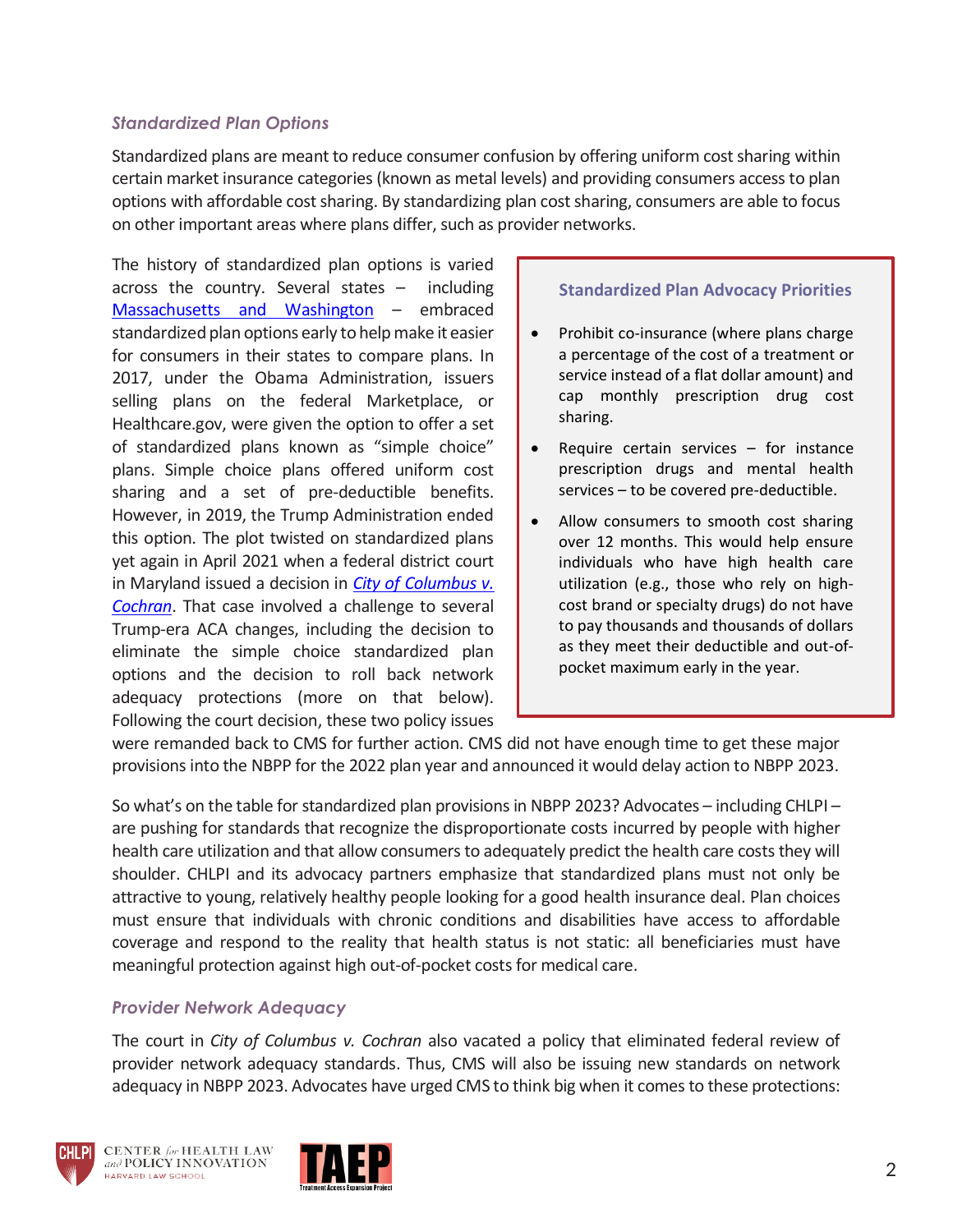## *Standardized Plan Options*

Standardized plans are meant to reduce consumer confusion by offering uniform cost sharing within certain market insurance categories (known as metal levels) and providing consumers access to plan options with affordable cost sharing. By standardizing plan cost sharing, consumers are able to focus on other important areas where plans differ, such as provider networks.

The history of standardized plan options is varied across the country. Several states – including [Massachusetts and Washington](https://www.commonwealthfund.org/blog/2021/state-efforts-standardize-marketplace-health-plans) - embraced standardized plan options early to help make it easier for consumers in their states to compare plans. In 2017, under the Obama Administration, issuers selling plans on the federal Marketplace, or Healthcare.gov, were given the option to offer a set of standardized plans known as "simple choice" plans. Simple choice plans offered uniform cost sharing and a set of pre-deductible benefits. However, in 2019, the Trump Administration ended this option. The plot twisted on standardized plans yet again in April 2021 when a federal district court in Maryland issued a decision in *[City of Columbus v.](https://casetext.com/case/city-of-columbus-v-cochran-1)  [Cochran](https://casetext.com/case/city-of-columbus-v-cochran-1)*. That case involved a challenge to several Trump-era ACA changes, including the decision to eliminate the simple choice standardized plan options and the decision to roll back network adequacy protections (more on that below). Following the court decision, these two policy issues

#### **Standardized Plan Advocacy Priorities**

- Prohibit co-insurance (where plans charge a percentage of the cost of a treatment or service instead of a flat dollar amount) and cap monthly prescription drug cost sharing.
- Require certain services  $-$  for instance prescription drugs and mental health services – to be covered pre-deductible.
- Allow consumers to smooth cost sharing over 12 months. This would help ensure individuals who have high health care utilization (e.g., those who rely on highcost brand or specialty drugs) do not have to pay thousands and thousands of dollars as they meet their deductible and out-ofpocket maximum early in the year.

were remanded back to CMS for further action. CMS did not have enough time to get these major provisions into the NBPP for the 2022 plan year and announced it would delay action to NBPP 2023.

So what's on the table for standardized plan provisions in NBPP 2023? Advocates – including CHLPI – are pushing for standards that recognize the disproportionate costs incurred by people with higher health care utilization and that allow consumers to adequately predict the health care costs they will shoulder. CHLPI and its advocacy partners emphasize that standardized plans must not only be attractive to young, relatively healthy people looking for a good health insurance deal. Plan choices must ensure that individuals with chronic conditions and disabilities have access to affordable coverage and respond to the reality that health status is not static: all beneficiaries must have meaningful protection against high out-of-pocket costs for medical care.

### *Provider Network Adequacy*

The court in *City of Columbus v. Cochran* also vacated a policy that eliminated federal review of provider network adequacy standards. Thus, CMS will also be issuing new standards on network adequacy in NBPP 2023. Advocates have urged CMS to think big when it comes to these protections:



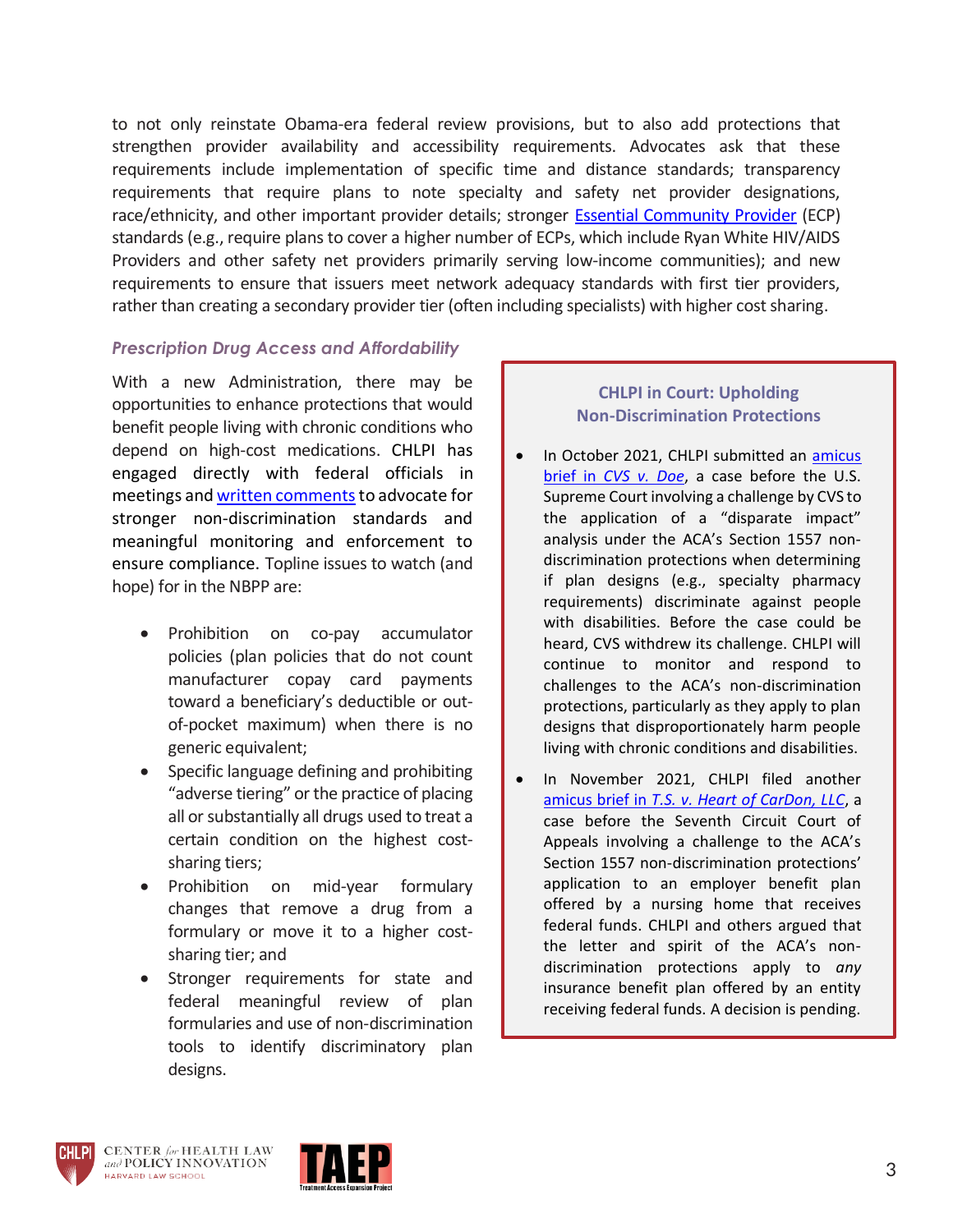to not only reinstate Obama-era federal review provisions, but to also add protections that strengthen provider availability and accessibility requirements. Advocates ask that these requirements include implementation of specific time and distance standards; transparency requirements that require plans to note specialty and safety net provider designations, race/ethnicity, and other important provider details; stronger [Essential Community Provider](https://www.kff.org/other/state-indicator/definition-of-essential-community-providers-ecps-in-marketplaces/?currentTimeframe=0&sortModel=%7B%22colId%22:%22Location%22,%22sort%22:%22asc%22%7D) (ECP) standards (e.g., require plans to cover a higher number of ECPs, which include Ryan White HIV/AIDS Providers and other safety net providers primarily serving low-income communities); and new requirements to ensure that issuers meet network adequacy standards with first tier providers, rather than creating a secondary provider tier (often including specialists) with higher cost sharing.

#### *Prescription Drug Access and Affordability*

With a new Administration, there may be opportunities to enhance protections that would benefit people living with chronic conditions who depend on high-cost medications. CHLPI has engaged directly with federal officials in meetings and written comments to advocate for stronger non-discrimination standards and meaningful monitoring and enforcement to ensure compliance. Topline issues to watch (and hope) for in the NBPP are:

- Prohibition on co-pay accumulator policies (plan policies that do not count manufacturer copay card payments toward a beneficiary's deductible or outof-pocket maximum) when there is no generic equivalent;
- Specific language defining and prohibiting "adverse tiering" or the practice of placing all or substantially all drugs used to treat a certain condition on the highest costsharing tiers;
- Prohibition on mid-year formulary changes that remove a drug from a formulary or move it to a higher costsharing tier; and
- Stronger requirements for state and federal meaningful review of plan formularies and use of non-discrimination tools to identify discriminatory plan designs.

## **CHLPI in Court: Upholding Non-Discrimination Protections**

- In October 2021, CHLPI submitted an amicus brief in *[CVS v. Doe](https://chlpi.org/wp-content/uploads/2021/12/CVS-v-Doe-CHLPI-Amicus.pdf)*, a case before the U.S. Supreme Court involving a challenge by CVS to the application of a "disparate impact" analysis under the ACA's Section 1557 nondiscrimination protections when determining if plan designs (e.g., specialty pharmacy requirements) discriminate against people with disabilities. Before the case could be heard, CVS withdrew its challenge. CHLPI will continue to monitor and respond to challenges to the ACA's non-discrimination protections, particularly as they apply to plan designs that disproportionately harm people living with chronic conditions and disabilities.
- In November 2021, CHLPI filed another amicus brief in *[T.S. v. Heart of CarDon, LLC](https://chlpi.org/wp-content/uploads/2021/12/T.S.-v.-Heart-of-CarDon-Amicus-Brief-7th-Cir.-As-filed.pdf)*, a case before the Seventh Circuit Court of Appeals involving a challenge to the ACA's Section 1557 non-discrimination protections' application to an employer benefit plan offered by a nursing home that receives federal funds. CHLPI and others argued that the letter and spirit of the ACA's nondiscrimination protections apply to *any* insurance benefit plan offered by an entity receiving federal funds. A decision is pending.